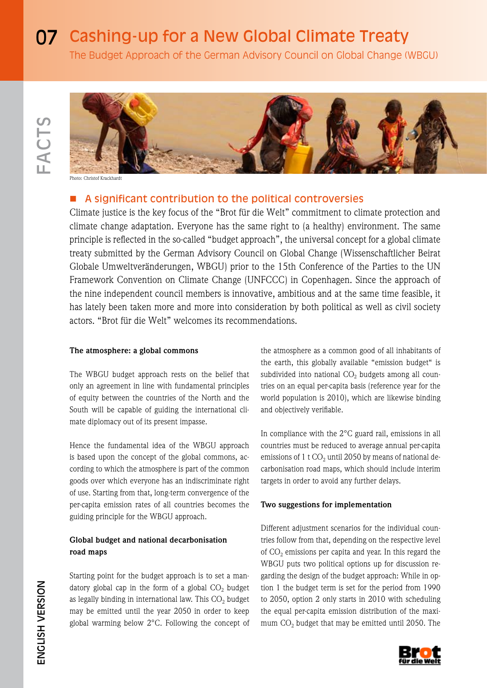# **07** Cashing-up for a New Global Climate Treaty

The Budget Approach of the German Advisory Council on Global Change (WBGU)



Photo: Christof Krackhardt

# A significant contribution to the political controversies

Climate justice is the key focus of the "Brot für die Welt" commitment to climate protection and climate change adaptation. Everyone has the same right to (a healthy) environment. The same principle is reflected in the so-called "budget approach", the universal concept for a global climate treaty submitted by the German Advisory Council on Global Change (Wissenschaftlicher Beirat Globale Umweltveränderungen, WBGU) prior to the 15th Conference of the Parties to the UN Framework Convention on Climate Change (UNFCCC) in Copenhagen. Since the approach of the nine independent council members is innovative, ambitious and at the same time feasible, it has lately been taken more and more into consideration by both political as well as civil society actors. "Brot für die Welt" welcomes its recommendations.

## **The atmosphere: a global commons**

The WBGU budget approach rests on the belief that only an agreement in line with fundamental principles of equity between the countries of the North and the South will be capable of guiding the international climate diplomacy out of its present impasse.

Hence the fundamental idea of the WBGU approach is based upon the concept of the global commons, according to which the atmosphere is part of the common goods over which everyone has an indiscriminate right of use. Starting from that, long-term convergence of the per-capita emission rates of all countries becomes the guiding principle for the WBGU approach.

## **Global budget and national decarbonisation road maps**

Starting point for the budget approach is to set a mandatory global cap in the form of a global  $CO<sub>2</sub>$  budget as legally binding in international law. This  $CO<sub>2</sub>$  budget may be emitted until the year 2050 in order to keep global warming below 2°C. Following the concept of the atmosphere as a common good of all inhabitants of the earth, this globally available "emission budget" is subdivided into national  $CO<sub>2</sub>$  budgets among all countries on an equal per-capita basis (reference year for the world population is 2010), which are likewise binding and objectively verifiable.

In compliance with the 2°C guard rail, emissions in all countries must be reduced to average annual per-capita emissions of 1 t  $CO<sub>2</sub>$  until 2050 by means of national decarbonisation road maps, which should include interim targets in order to avoid any further delays.

### **Two suggestions for implementation**

Different adjustment scenarios for the individual countries follow from that, depending on the respective level of  $CO<sub>2</sub>$  emissions per capita and year. In this regard the WBGU puts two political options up for discussion regarding the design of the budget approach: While in option 1 the budget term is set for the period from 1990 to 2050, option 2 only starts in 2010 with scheduling the equal per-capita emission distribution of the maximum CO<sub>2</sub> budget that may be emitted until 2050. The

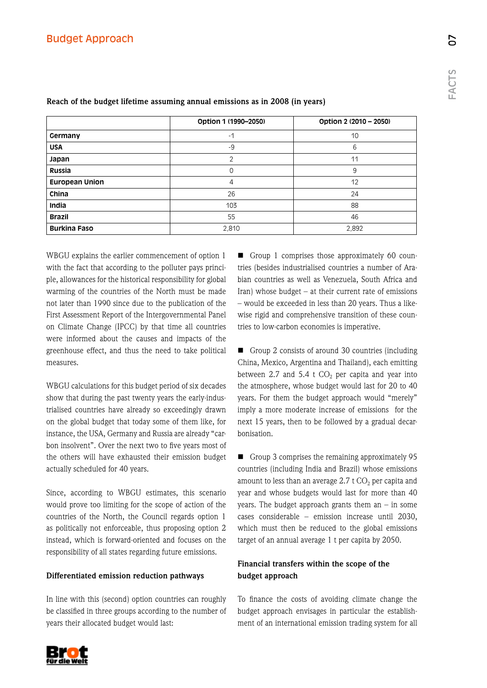|                       | Option 1 (1990-2050) | Option 2 (2010 - 2050) |
|-----------------------|----------------------|------------------------|
| Germany               | $-1$                 | 10                     |
| <b>USA</b>            | $-9$                 | 6                      |
| Japan                 | 2                    | 11                     |
| Russia                | 0                    | 9                      |
| <b>European Union</b> | $\overline{4}$       | 12                     |
| China                 | 26                   | 24                     |
| India                 | 103                  | 88                     |
| <b>Brazil</b>         | 55                   | 46                     |
| <b>Burkina Faso</b>   | 2,810                | 2,892                  |

## **Reach of the budget lifetime assuming annual emissions as in 2008 (in years)**

WBGU explains the earlier commencement of option 1 with the fact that according to the polluter pays principle, allowances for the historical responsibility for global warming of the countries of the North must be made not later than 1990 since due to the publication of the First Assessment Report of the Intergovernmental Panel on Climate Change (IPCC) by that time all countries were informed about the causes and impacts of the greenhouse effect, and thus the need to take political measures.

WBGU calculations for this budget period of six decades show that during the past twenty years the early-industrialised countries have already so exceedingly drawn on the global budget that today some of them like, for instance, the USA, Germany and Russia are already "carbon insolvent". Over the next two to five years most of the others will have exhausted their emission budget actually scheduled for 40 years.

Since, according to WBGU estimates, this scenario would prove too limiting for the scope of action of the countries of the North, the Council regards option 1 as politically not enforceable, thus proposing option 2 instead, which is forward-oriented and focuses on the responsibility of all states regarding future emissions.

### **Differentiated emission reduction pathways**

In line with this (second) option countries can roughly be classified in three groups according to the number of years their allocated budget would last:

Group 1 comprises those approximately 60 countries (besides industrialised countries a number of Arabian countries as well as Venezuela, South Africa and Iran) whose budget – at their current rate of emissions – would be exceeded in less than 20 years. Thus a likewise rigid and comprehensive transition of these countries to low-carbon economies is imperative.

Group 2 consists of around 30 countries (including China, Mexico, Argentina and Thailand), each emitting between 2.7 and 5.4 t  $CO<sub>2</sub>$  per capita and year into the atmosphere, whose budget would last for 20 to 40 years. For them the budget approach would "merely" imply a more moderate increase of emissions for the next 15 years, then to be followed by a gradual decarbonisation.

Group 3 comprises the remaining approximately 95 countries (including India and Brazil) whose emissions amount to less than an average  $2.7 \text{ t CO}_2$  per capita and year and whose budgets would last for more than 40 years. The budget approach grants them an  $-$  in some cases considerable – emission increase until 2030, which must then be reduced to the global emissions target of an annual average 1 t per capita by 2050.

## **Financial transfers within the scope of the budget approach**

To finance the costs of avoiding climate change the budget approach envisages in particular the establishment of an international emission trading system for all

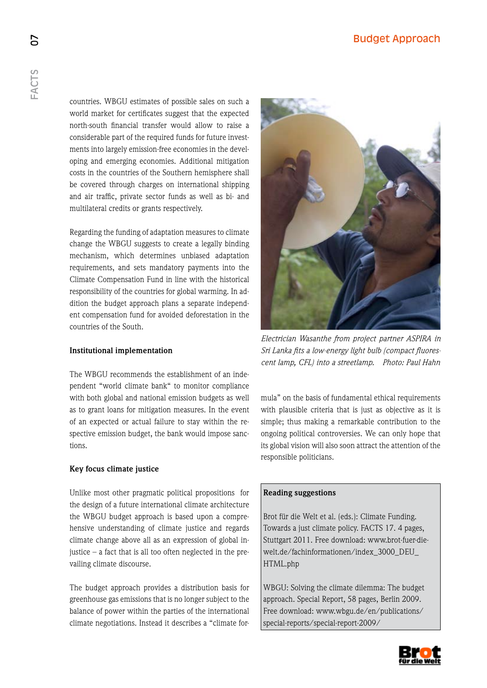countries. WBGU estimates of possible sales on such a world market for certificates suggest that the expected north-south financial transfer would allow to raise a considerable part of the required funds for future investments into largely emission-free economies in the developing and emerging economies. Additional mitigation costs in the countries of the Southern hemisphere shall be covered through charges on international shipping and air traffic, private sector funds as well as bi- and multilateral credits or grants respectively.

Regarding the funding of adaptation measures to climate change the WBGU suggests to create a legally binding mechanism, which determines unbiased adaptation requirements, and sets mandatory payments into the Climate Compensation Fund in line with the historical responsibility of the countries for global warming. In addition the budget approach plans a separate independent compensation fund for avoided deforestation in the countries of the South.

## **Institutional implementation**

The WBGU recommends the establishment of an independent "world climate bank" to monitor compliance with both global and national emission budgets as well as to grant loans for mitigation measures. In the event of an expected or actual failure to stay within the respective emission budget, the bank would impose sanctions.

## **Key focus climate justice**

Unlike most other pragmatic political propositions for the design of a future international climate architecture the WBGU budget approach is based upon a comprehensive understanding of climate justice and regards climate change above all as an expression of global injustice – a fact that is all too often neglected in the prevailing climate discourse.

The budget approach provides a distribution basis for greenhouse gas emissions that is no longer subject to the balance of power within the parties of the international climate negotiations. Instead it describes a "climate for-



*Electrician Wasanthe from project partner ASPIRA in Sri Lanka fits a low-energy light bulb (compact fluorescent lamp, CFL) into a streetlamp. Photo: Paul Hahn*

mula" on the basis of fundamental ethical requirements with plausible criteria that is just as objective as it is simple; thus making a remarkable contribution to the ongoing political controversies. We can only hope that its global vision will also soon attract the attention of the responsible politicians.

## **Reading suggestions**

Brot für die Welt et al. (eds.): Climate Funding. Towards a just climate policy. FACTS 17. 4 pages, Stuttgart 2011. Free download: www.brot-fuer-diewelt.de/fachinformationen/index\_3000\_DEU\_ HTML.php

WBGU: Solving the climate dilemma: The budget approach. Special Report, 58 pages, Berlin 2009. Free download: www.wbgu.de/en/publications/ special-reports/special-report-2009/



5